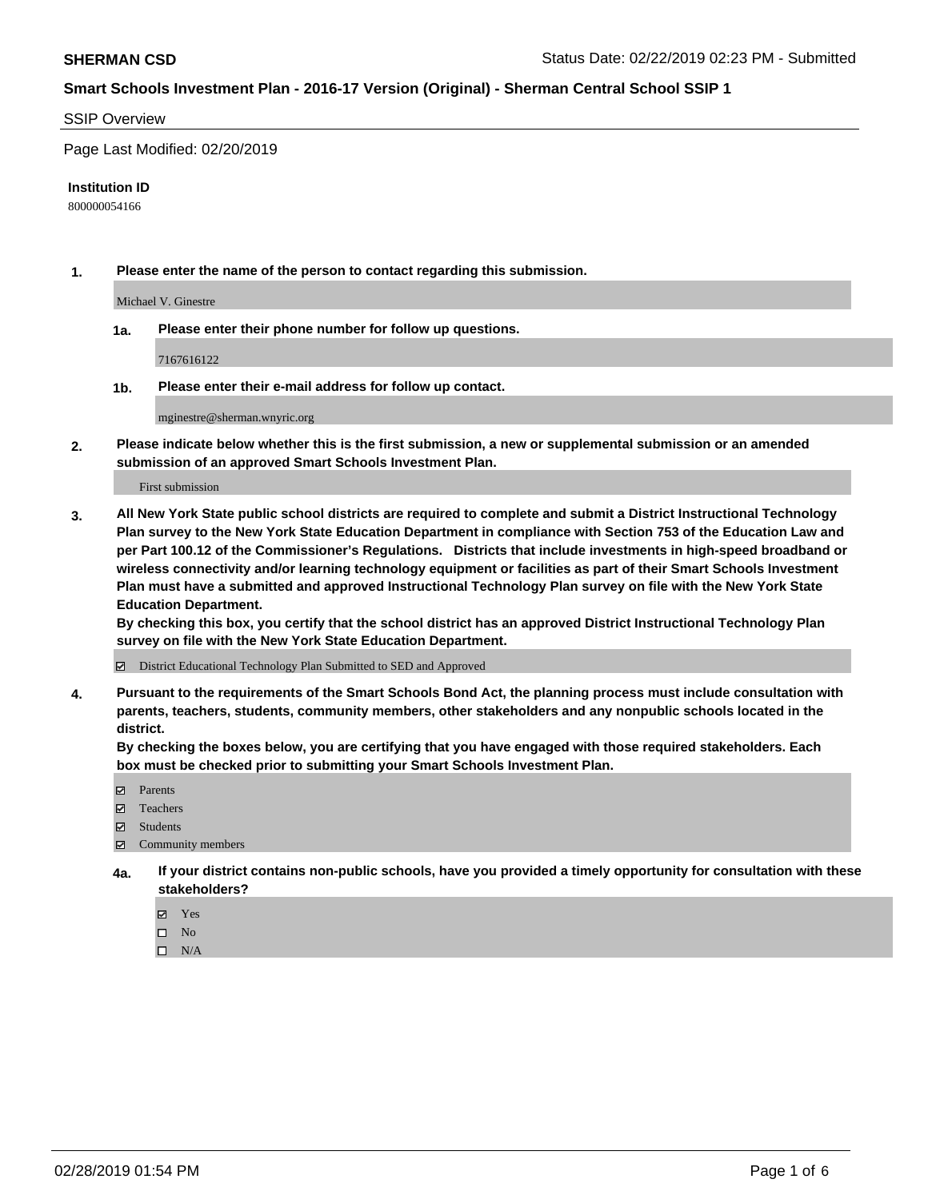#### SSIP Overview

Page Last Modified: 02/20/2019

#### **Institution ID**

800000054166

**1. Please enter the name of the person to contact regarding this submission.**

Michael V. Ginestre

**1a. Please enter their phone number for follow up questions.**

7167616122

**1b. Please enter their e-mail address for follow up contact.**

mginestre@sherman.wnyric.org

**2. Please indicate below whether this is the first submission, a new or supplemental submission or an amended submission of an approved Smart Schools Investment Plan.**

First submission

**3. All New York State public school districts are required to complete and submit a District Instructional Technology Plan survey to the New York State Education Department in compliance with Section 753 of the Education Law and per Part 100.12 of the Commissioner's Regulations. Districts that include investments in high-speed broadband or wireless connectivity and/or learning technology equipment or facilities as part of their Smart Schools Investment Plan must have a submitted and approved Instructional Technology Plan survey on file with the New York State Education Department.** 

**By checking this box, you certify that the school district has an approved District Instructional Technology Plan survey on file with the New York State Education Department.**

District Educational Technology Plan Submitted to SED and Approved

**4. Pursuant to the requirements of the Smart Schools Bond Act, the planning process must include consultation with parents, teachers, students, community members, other stakeholders and any nonpublic schools located in the district.** 

**By checking the boxes below, you are certifying that you have engaged with those required stakeholders. Each box must be checked prior to submitting your Smart Schools Investment Plan.**

- **□** Parents
- Teachers
- Students
- $\boxtimes$  Community members
- **4a. If your district contains non-public schools, have you provided a timely opportunity for consultation with these stakeholders?**
	- Yes
	- $\qquad \qquad$  No
	- $\square$  N/A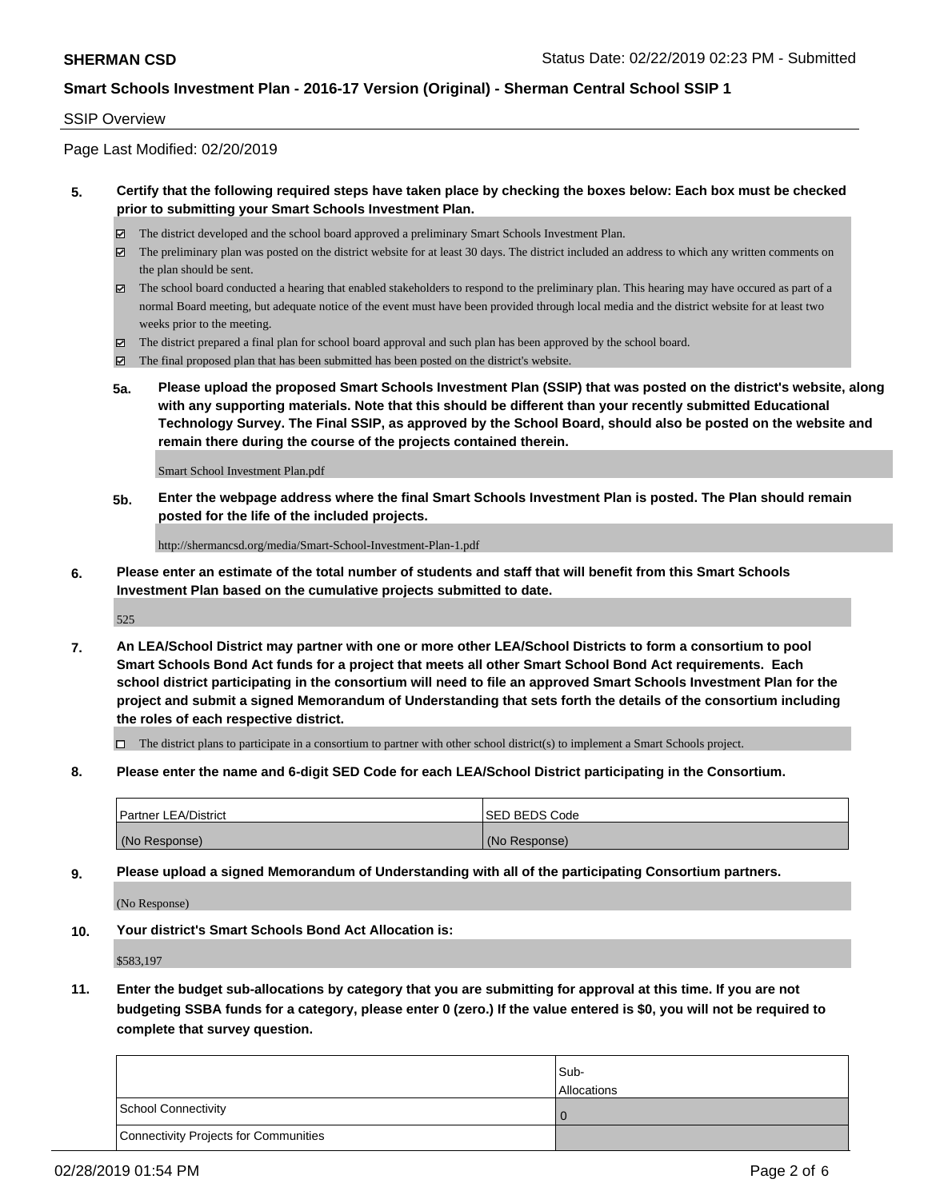#### SSIP Overview

Page Last Modified: 02/20/2019

#### **5. Certify that the following required steps have taken place by checking the boxes below: Each box must be checked prior to submitting your Smart Schools Investment Plan.**

- The district developed and the school board approved a preliminary Smart Schools Investment Plan.
- $\boxtimes$  The preliminary plan was posted on the district website for at least 30 days. The district included an address to which any written comments on the plan should be sent.
- $\boxtimes$  The school board conducted a hearing that enabled stakeholders to respond to the preliminary plan. This hearing may have occured as part of a normal Board meeting, but adequate notice of the event must have been provided through local media and the district website for at least two weeks prior to the meeting.
- The district prepared a final plan for school board approval and such plan has been approved by the school board.
- $\boxtimes$  The final proposed plan that has been submitted has been posted on the district's website.
- **5a. Please upload the proposed Smart Schools Investment Plan (SSIP) that was posted on the district's website, along with any supporting materials. Note that this should be different than your recently submitted Educational Technology Survey. The Final SSIP, as approved by the School Board, should also be posted on the website and remain there during the course of the projects contained therein.**

Smart School Investment Plan.pdf

**5b. Enter the webpage address where the final Smart Schools Investment Plan is posted. The Plan should remain posted for the life of the included projects.**

http://shermancsd.org/media/Smart-School-Investment-Plan-1.pdf

**6. Please enter an estimate of the total number of students and staff that will benefit from this Smart Schools Investment Plan based on the cumulative projects submitted to date.**

525

**7. An LEA/School District may partner with one or more other LEA/School Districts to form a consortium to pool Smart Schools Bond Act funds for a project that meets all other Smart School Bond Act requirements. Each school district participating in the consortium will need to file an approved Smart Schools Investment Plan for the project and submit a signed Memorandum of Understanding that sets forth the details of the consortium including the roles of each respective district.**

 $\Box$  The district plans to participate in a consortium to partner with other school district(s) to implement a Smart Schools project.

**8. Please enter the name and 6-digit SED Code for each LEA/School District participating in the Consortium.**

| <b>Partner LEA/District</b> | <b>ISED BEDS Code</b> |
|-----------------------------|-----------------------|
| (No Response)               | (No Response)         |

**9. Please upload a signed Memorandum of Understanding with all of the participating Consortium partners.**

(No Response)

**10. Your district's Smart Schools Bond Act Allocation is:**

\$583,197

**11. Enter the budget sub-allocations by category that you are submitting for approval at this time. If you are not budgeting SSBA funds for a category, please enter 0 (zero.) If the value entered is \$0, you will not be required to complete that survey question.**

|                                              | Sub-<br><b>Allocations</b> |
|----------------------------------------------|----------------------------|
| <b>School Connectivity</b>                   |                            |
| <b>Connectivity Projects for Communities</b> |                            |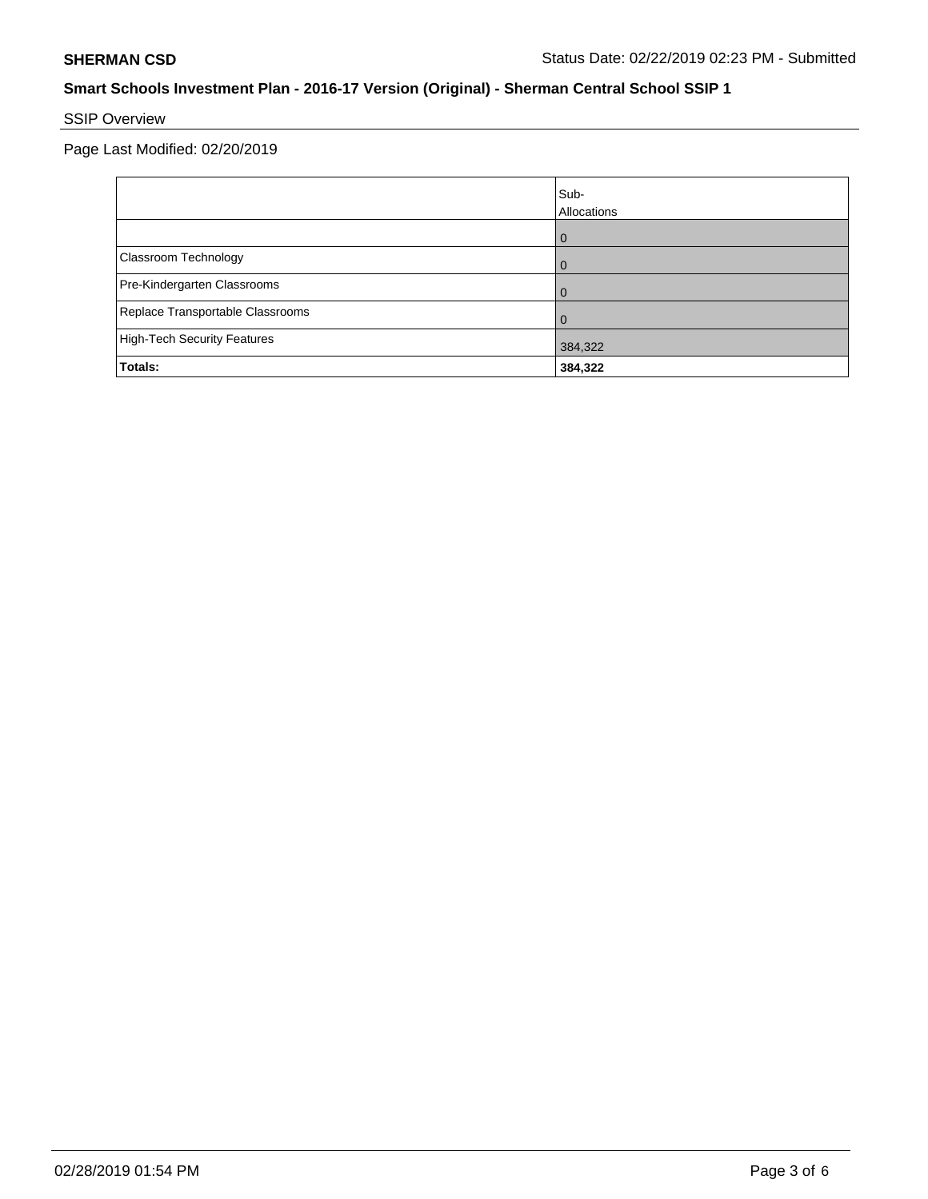# SSIP Overview

Page Last Modified: 02/20/2019

|                                    | Sub-<br>Allocations |
|------------------------------------|---------------------|
|                                    | ω                   |
| Classroom Technology               |                     |
| Pre-Kindergarten Classrooms        |                     |
| Replace Transportable Classrooms   |                     |
| <b>High-Tech Security Features</b> | 384,322             |
| Totals:                            | 384,322             |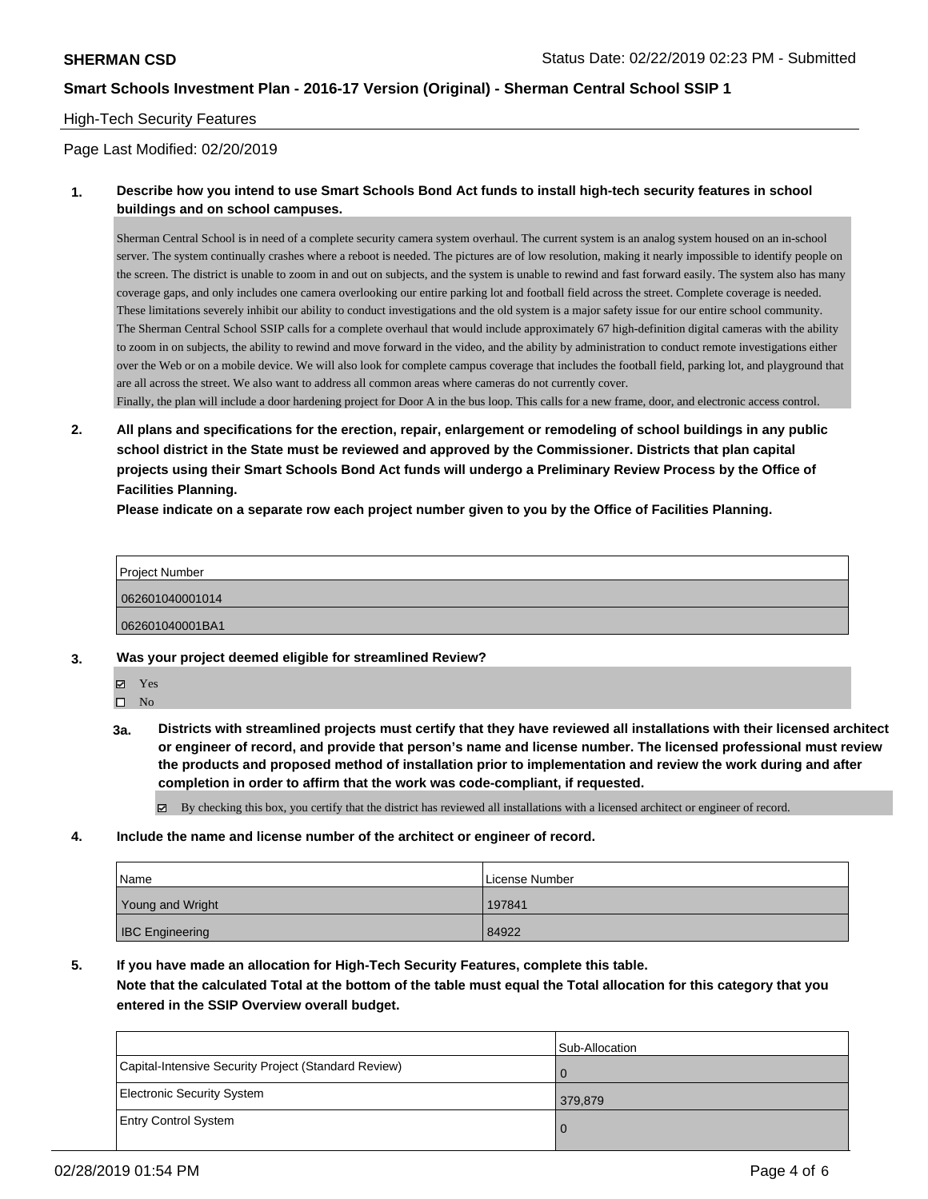#### High-Tech Security Features

#### Page Last Modified: 02/20/2019

#### **1. Describe how you intend to use Smart Schools Bond Act funds to install high-tech security features in school buildings and on school campuses.**

Sherman Central School is in need of a complete security camera system overhaul. The current system is an analog system housed on an in-school server. The system continually crashes where a reboot is needed. The pictures are of low resolution, making it nearly impossible to identify people on the screen. The district is unable to zoom in and out on subjects, and the system is unable to rewind and fast forward easily. The system also has many coverage gaps, and only includes one camera overlooking our entire parking lot and football field across the street. Complete coverage is needed. These limitations severely inhibit our ability to conduct investigations and the old system is a major safety issue for our entire school community. The Sherman Central School SSIP calls for a complete overhaul that would include approximately 67 high-definition digital cameras with the ability to zoom in on subjects, the ability to rewind and move forward in the video, and the ability by administration to conduct remote investigations either over the Web or on a mobile device. We will also look for complete campus coverage that includes the football field, parking lot, and playground that are all across the street. We also want to address all common areas where cameras do not currently cover.

Finally, the plan will include a door hardening project for Door A in the bus loop. This calls for a new frame, door, and electronic access control.

**2. All plans and specifications for the erection, repair, enlargement or remodeling of school buildings in any public school district in the State must be reviewed and approved by the Commissioner. Districts that plan capital projects using their Smart Schools Bond Act funds will undergo a Preliminary Review Process by the Office of Facilities Planning.** 

**Please indicate on a separate row each project number given to you by the Office of Facilities Planning.**

| Project Number  |  |
|-----------------|--|
| 062601040001014 |  |
| 062601040001BA1 |  |

- **3. Was your project deemed eligible for streamlined Review?**
	- Yes  $\square$  No
	- **3a. Districts with streamlined projects must certify that they have reviewed all installations with their licensed architect or engineer of record, and provide that person's name and license number. The licensed professional must review the products and proposed method of installation prior to implementation and review the work during and after completion in order to affirm that the work was code-compliant, if requested.**

By checking this box, you certify that the district has reviewed all installations with a licensed architect or engineer of record.

**4. Include the name and license number of the architect or engineer of record.**

| Name                   | License Number |
|------------------------|----------------|
| Young and Wright       | 197841         |
| <b>IBC Engineering</b> | 84922          |

**5. If you have made an allocation for High-Tech Security Features, complete this table.**

**Note that the calculated Total at the bottom of the table must equal the Total allocation for this category that you entered in the SSIP Overview overall budget.**

|                                                      | Sub-Allocation |
|------------------------------------------------------|----------------|
| Capital-Intensive Security Project (Standard Review) |                |
| <b>Electronic Security System</b>                    | 379,879        |
| <b>Entry Control System</b>                          |                |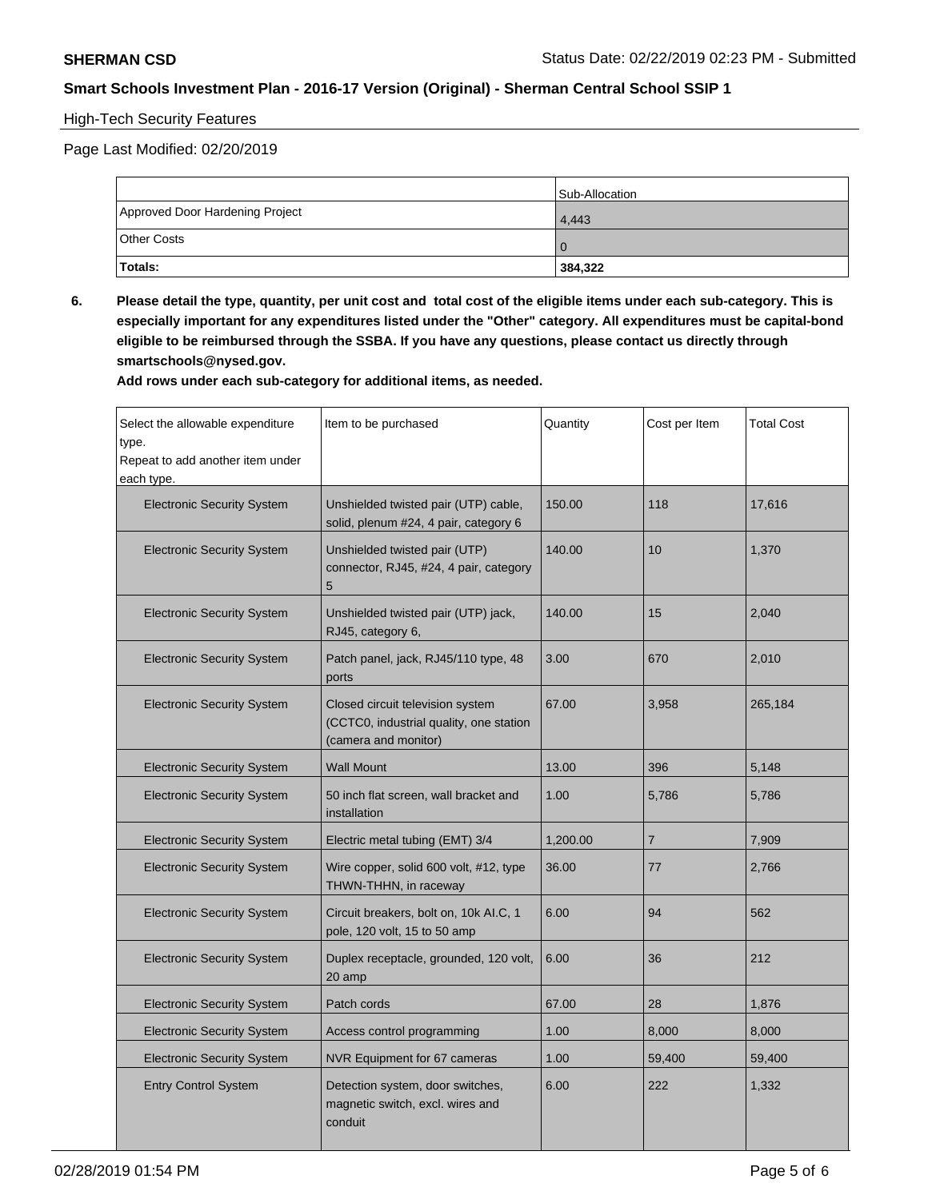# High-Tech Security Features

Page Last Modified: 02/20/2019

|                                 | <b>Sub-Allocation</b> |
|---------------------------------|-----------------------|
| Approved Door Hardening Project | 4,443                 |
| <b>Other Costs</b>              |                       |
| Totals:                         | 384,322               |

**6. Please detail the type, quantity, per unit cost and total cost of the eligible items under each sub-category. This is especially important for any expenditures listed under the "Other" category. All expenditures must be capital-bond eligible to be reimbursed through the SSBA. If you have any questions, please contact us directly through smartschools@nysed.gov.**

**Add rows under each sub-category for additional items, as needed.**

| Select the allowable expenditure<br>type.<br>Repeat to add another item under<br>each type. | Item to be purchased                                                                                | Quantity | Cost per Item  | <b>Total Cost</b> |
|---------------------------------------------------------------------------------------------|-----------------------------------------------------------------------------------------------------|----------|----------------|-------------------|
| <b>Electronic Security System</b>                                                           | Unshielded twisted pair (UTP) cable,<br>solid, plenum #24, 4 pair, category 6                       | 150.00   | 118            | 17,616            |
| <b>Electronic Security System</b>                                                           | Unshielded twisted pair (UTP)<br>connector, RJ45, #24, 4 pair, category<br>5                        | 140.00   | 10             | 1,370             |
| <b>Electronic Security System</b>                                                           | Unshielded twisted pair (UTP) jack,<br>RJ45, category 6,                                            | 140.00   | 15             | 2,040             |
| <b>Electronic Security System</b>                                                           | Patch panel, jack, RJ45/110 type, 48<br>ports                                                       | 3.00     | 670            | 2,010             |
| <b>Electronic Security System</b>                                                           | Closed circuit television system<br>(CCTC0, industrial quality, one station<br>(camera and monitor) | 67.00    | 3,958          | 265,184           |
| <b>Electronic Security System</b>                                                           | <b>Wall Mount</b>                                                                                   | 13.00    | 396            | 5,148             |
| <b>Electronic Security System</b>                                                           | 50 inch flat screen, wall bracket and<br>installation                                               | 1.00     | 5,786          | 5,786             |
| <b>Electronic Security System</b>                                                           | Electric metal tubing (EMT) 3/4                                                                     | 1,200.00 | $\overline{7}$ | 7,909             |
| <b>Electronic Security System</b>                                                           | Wire copper, solid 600 volt, #12, type<br>THWN-THHN, in raceway                                     | 36.00    | 77             | 2,766             |
| <b>Electronic Security System</b>                                                           | Circuit breakers, bolt on, 10k AI.C, 1<br>pole, 120 volt, 15 to 50 amp                              | 6.00     | 94             | 562               |
| <b>Electronic Security System</b>                                                           | Duplex receptacle, grounded, 120 volt,<br>20 amp                                                    | 6.00     | 36             | 212               |
| <b>Electronic Security System</b>                                                           | Patch cords                                                                                         | 67.00    | 28             | 1,876             |
| <b>Electronic Security System</b>                                                           | Access control programming                                                                          | 1.00     | 8,000          | 8,000             |
| <b>Electronic Security System</b>                                                           | NVR Equipment for 67 cameras                                                                        | 1.00     | 59,400         | 59,400            |
| <b>Entry Control System</b>                                                                 | Detection system, door switches,<br>magnetic switch, excl. wires and<br>conduit                     | 6.00     | 222            | 1,332             |